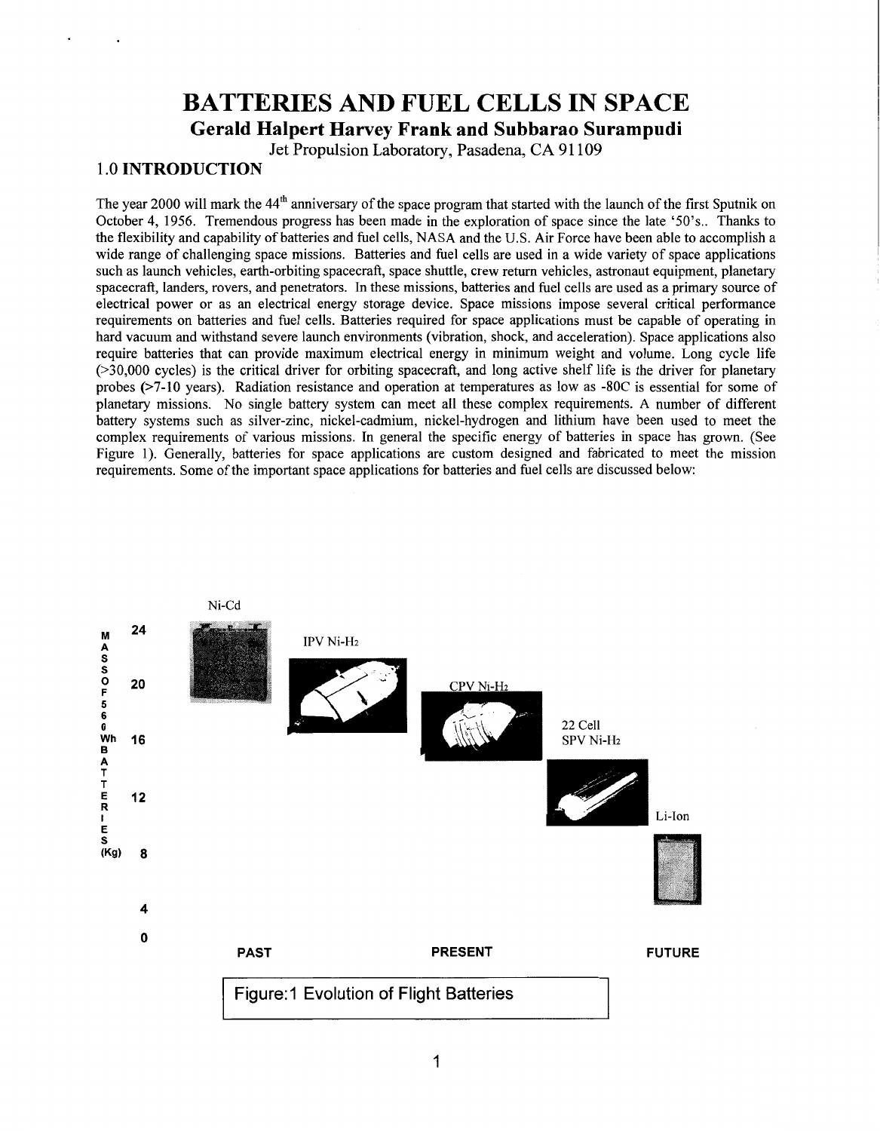# **BATTERIES AND FUEL CELLS IN SPACE Gerald Halpert Harvey Frank and Subbarao Surampudi**

Jet Propulsion Laboratory, Pasadena, **CA 9** 1 109

# <span id="page-0-0"></span>**1** .O **INTRODUCTION**

The year 2000 will mark the  $44<sup>th</sup>$  anniversary of the space program that started with the launch of the first Sputnik on October 4, 1956. Tremendous progress has been made in the exploration of space since the late '50's.. Thanks to the flexibility and capability of batteries and fuel cells, NASA and the U.S. Air Force have been able to accomplish a wide range of challenging space missions. Batteries and fuel cells are used in a wide variety of space applications such as launch vehicles, earth-orbiting spacecraft, space shuttle, crew return vehicles, astronaut equipment, planetary spacecraft, landers, rovers, and penetrators. In these missions, batteries and fuel cells are used as a primary source of electrical power or as an electrical energy storage device. Space missions impose several critical performance requirements on batteries and fuel cells. Batteries required for space applications must be capable of operating in hard vacuum and withstand severe launch environments (vibration, shock, and acceleration). Space applications also require batteries that can provide maximum electrical energy in minimum weight and volume. Long cycle life (>30,000 cycles) is the critical driver for orbiting spacecraft, and long active shelf life is the driver for planetary probes **(>7-10** years). Radiation resistance and operation at temperatures as low as -80C is essential for some of planetary missions. No single battery system can meet all these complex requirements. A number of different battery systems such as silver-zinc, nickel-cadmium, nickel-hydrogen and lithium have been used to meet the complex requirements of various missions. In general the specific energy of batteries in space has grown. (See Figure 1). Generally, batteries for space applications are custom designed and fabricated to meet the mission requirements. Some of the important space applications for batteries and fuel cells are discussed below:

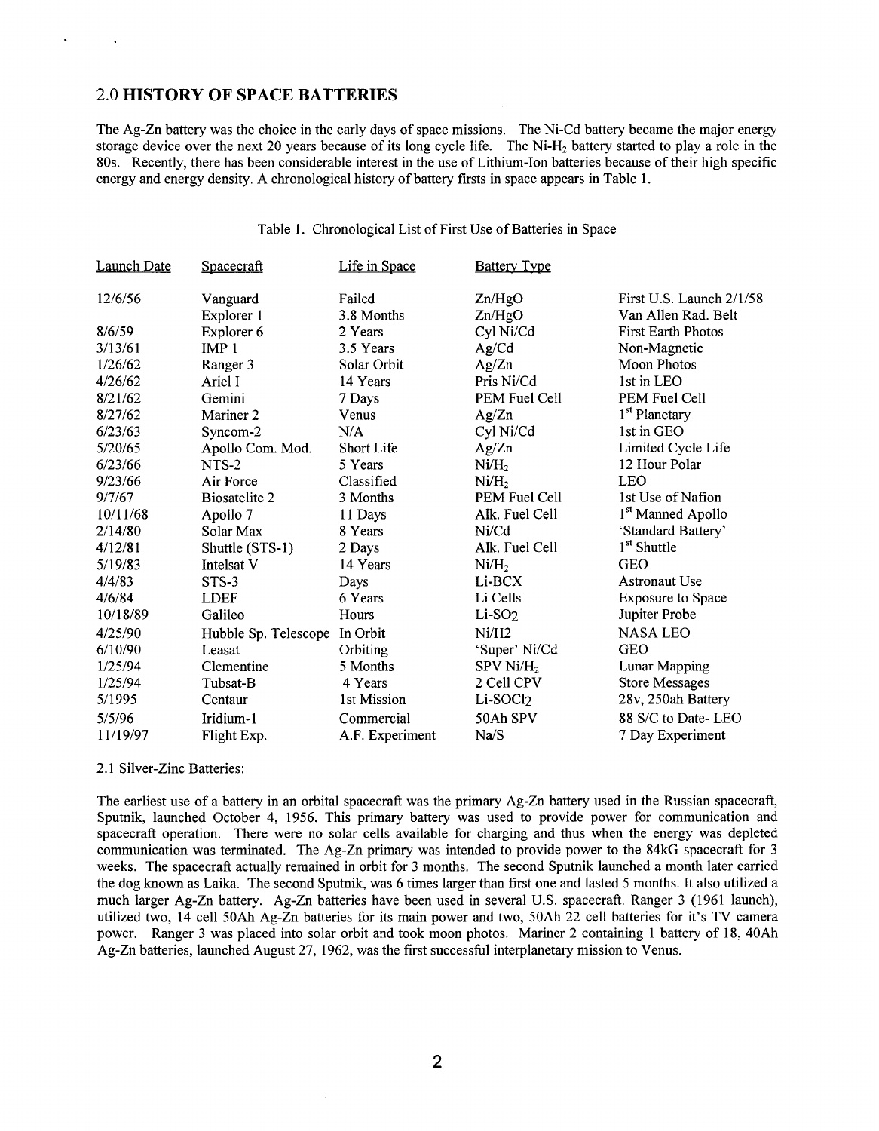# 2.0 **HISTORY OF SPACE BATTERIES**

The Ag-Zn battery was the choice in the early days of space missions. The Ni-Cd battery became the major energy storage device over the next 20 years because of its long cycle life. The Ni-Hz battery started to play a role in the 80s. Recently, there has been considerable interest in the use of Lithium-Ion batteries because of their high specific [energy and energy density. A chronological history of battery firsts in space appears in Table 1](#page-0-0).

# Table 1. Chronological List of First Use of Batteries in Space

| Launch Date | Spacecraft           | Life in Space     | <b>Battery Type</b>   |                               |
|-------------|----------------------|-------------------|-----------------------|-------------------------------|
| 12/6/56     | Vanguard             | Failed            | Zn/HgO                | First U.S. Launch 2/1/58      |
|             | Explorer 1           | 3.8 Months        | Zn/HgO                | Van Allen Rad. Belt           |
| 8/6/59      | Explorer 6           | 2 Years           | Cyl Ni/Cd             | <b>First Earth Photos</b>     |
| 3/13/61     | IMP <sub>1</sub>     | 3.5 Years         | Ag/Cd                 | Non-Magnetic                  |
| 1/26/62     | Ranger 3             | Solar Orbit       | Ag/Zn                 | Moon Photos                   |
| 4/26/62     | Ariel I              | 14 Years          | Pris Ni/Cd            | 1st in LEO                    |
| 8/21/62     | Gemini               | 7 Days            | PEM Fuel Cell         | PEM Fuel Cell                 |
| 8/27/62     | Mariner 2            | Venus             | Ag/Zn                 | 1 <sup>st</sup> Planetary     |
| 6/23/63     | Syncom-2             | N/A               | Cyl Ni/Cd             | 1st in GEO                    |
| 5/20/65     | Apollo Com. Mod.     | <b>Short Life</b> | Ag/Zn                 | Limited Cycle Life            |
| 6/23/66     | NTS-2                | 5 Years           | Ni/H <sub>2</sub>     | 12 Hour Polar                 |
| 9/23/66     | Air Force            | Classified        | Ni/H <sub>2</sub>     | <b>LEO</b>                    |
| 9/7/67      | Biosatelite 2        | 3 Months          | PEM Fuel Cell         | 1st Use of Nafion             |
| 10/11/68    | Apollo 7             | 11 Days           | Alk. Fuel Cell        | 1 <sup>st</sup> Manned Apollo |
| 2/14/80     | Solar Max            | 8 Years           | Ni/Cd                 | 'Standard Battery'            |
| 4/12/81     | Shuttle (STS-1)      | 2 Days            | Alk. Fuel Cell        | 1 <sup>st</sup> Shuttle       |
| 5/19/83     | Intelsat V           | 14 Years          | Ni/H <sub>2</sub>     | <b>GEO</b>                    |
| 4/4/83      | $STS-3$              | Days              | Li-BCX                | <b>Astronaut Use</b>          |
| 4/6/84      | <b>LDEF</b>          | 6 Years           | Li Cells              | <b>Exposure to Space</b>      |
| 10/18/89    | Galileo              | Hours             | $Li-SO2$              | Jupiter Probe                 |
| 4/25/90     | Hubble Sp. Telescope | In Orbit          | Ni/H2                 | <b>NASA LEO</b>               |
| 6/10/90     | Leasat               | Orbiting          | 'Super' Ni/Cd         | <b>GEO</b>                    |
| 1/25/94     | Clementine           | 5 Months          | SPV Ni/H <sub>2</sub> | Lunar Mapping                 |
| 1/25/94     | Tubsat-B             | 4 Years           | 2 Cell CPV            | <b>Store Messages</b>         |
| 5/1995      | Centaur              | 1st Mission       | Li-SOCl2              | 28v, 250ah Battery            |
| 5/5/96      | Iridium-1            | Commercial        | 50Ah SPV              | 88 S/C to Date-LEO            |
| 11/19/97    | Flight Exp.          | A.F. Experiment   | Na/S                  | 7 Day Experiment              |

2.1 Silver-Zinc Batteries:

The earliest use of a battery in an orbital spacecraft was the primary Ag-Zn battery used in the Russian spacecraft, Sputnik, launched October 4, 1956. This primary battery was used to provide power for communication and spacecraft operation. There were no solar cells available for charging and thus when the energy was depleted [communication was terminated. The Ag-Zn primary was intended to provide power to the 84kG spacecraft for 3](#page-2-0) weeks. The spacecraft actually remained in orbit for 3 months. The second Sputnik launched a month later carried the dog known as Laika. The second Sputnik, was 6 times larger than first one and lasted 5 months. It also utilized a [much larger Ag-Zn battery. Ag-Zn batteries have been used in several U.S. spacecraft. Ranger 3](#page-2-0) (1961 launch), utilized two, 14 cell 50Ah Ag-Zn batteries for its main power and two, 50Ah 22 cell batteries for it's TV camera [power. Ranger 3 was placed into solar orbit and took moon photos. Mariner 2 containing 1](#page-0-0) battery of 18, 40Ah Ag-Zn batteries, launched August 27, 1962, was the first successful interplanetary mission to Venus.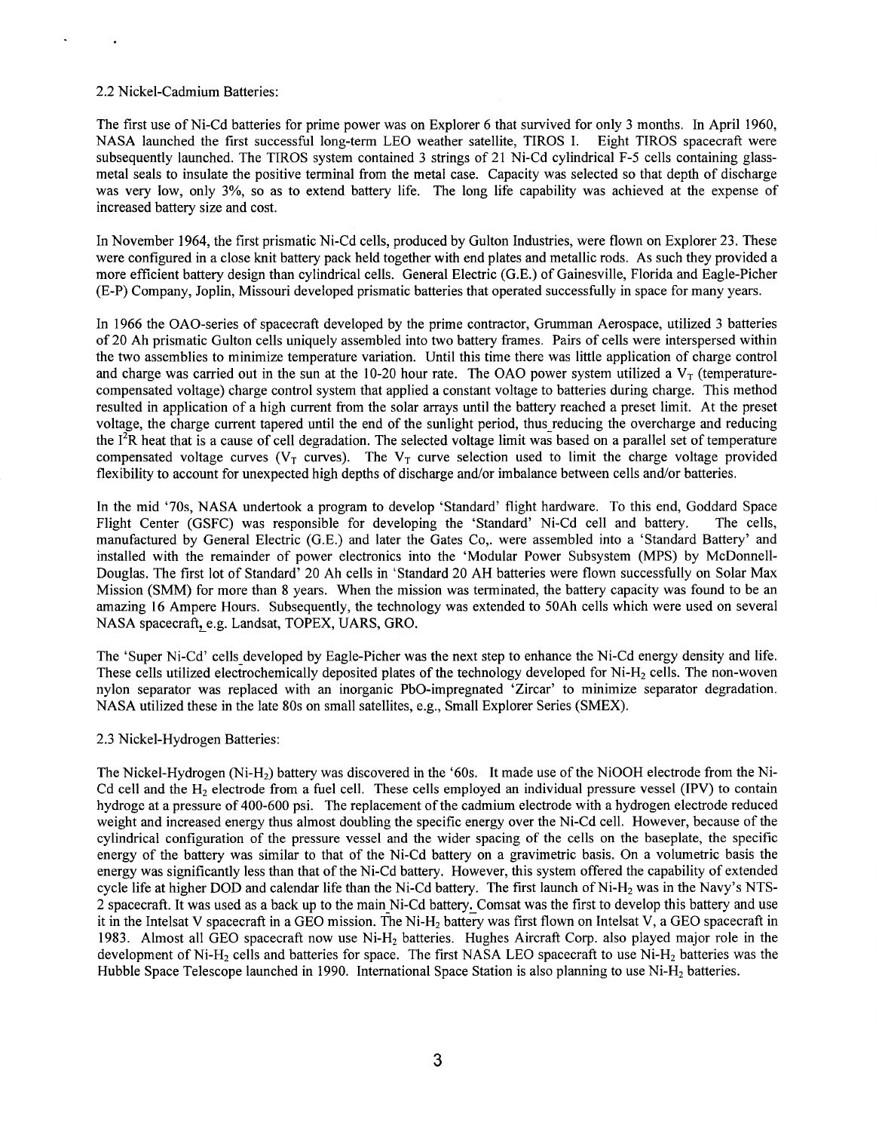## <span id="page-2-0"></span>2.2 Nickel-Cadmium Batteries:

The first use of Ni-Cd batteries for prime power was on Explorer 6 that survived for only 3 months. In April 1960, NASA launched the first successful long-term LEO weather satellite, TIROS **I.** Eight TIROS spacecraft were subsequently launched. The TIROS system contained 3 strings of 21 Ni-Cd cylindrical F-5 cells containing glassmetal seals to insulate the positive terminal from the metal case. Capacity was selected so that depth of discharge was very low, only 3%, so as to extend battery life. The long life capability was achieved at the expense of increased battery size and cost.

In November 1964, the first prismatic Ni-Cd cells, produced by Gulton Industries, were flown on Explorer 23. These were configured in a close knit battery pack held together with end plates and metallic rods. As such they provided a more efficient battery design than cylindrical cells. General Electric (G.E.) of Gainesville, Florida and Eagle-Picher (E-P) Company, Joplin, Missouri developed prismatic batteries that operated successfully in space for many years.

In 1966 the OAO-series of spacecraft developed by the prime contractor, Grumman Aerospace, utilized 3 batteries of 20 Ah prismatic Gulton cells uniquely assembled into two battery frames. Pairs of cells were interspersed within the two assemblies to minimize temperature variation. Until this time there was little application of charge control and charge was carried out in the sun at the 10-20 hour rate. The OAO power system utilized a  $V_T$  (temperaturecompensated voltage) charge control system that applied a constant voltage to batteries during charge. This method resulted in application of a high current from the solar arrays until the battery reached a preset limit. At the preset voltage, the charge current tapered until the end of the sunlight period, thus-reducing the overcharge and reducing the  $I<sup>2</sup>R$  heat that is a cause of cell degradation. The selected voltage limit was based on a parallel set of temperature compensated voltage curves ( $V_T$  curves). The  $V_T$  curve selection used to limit the charge voltage provided flexibility to account for unexpected high depths of discharge and/or imbalance between cells and/or batteries.

In the mid '70s, NASA undertook a program to develop 'Standard' flight hardware. To this end, Goddard Space Flight Center (GSFC) was responsible for developing the 'Standard' Ni-Cd cell and battery. The cells, manufactured by General Electric (G.E.) and later the Gates Co,. were assembled into a 'Standard Battery' and installed with the remainder of power electronics into the 'Modular Power Subsystem (MPS) by McDonnell-Douglas. The first lot of Standard' 20 Ah cells in 'Standard 20 AH batteries were flown successfully on Solar Max Mission (SMM) for more than 8 years. When the mission was terminated, the battery capacity was found to be an amazing 16 Ampere Hours. Subsequently, the technology was extended to 50Ah cells which were used on several NASA spacecraft, e.g. Landsat, TOPEX, UARS, GRO.

The 'Super Ni-Cd' cells developed by Eagle-Picher was the next step to enhance the Ni-Cd energy density and life. These cells utilized electrochemically deposited plates of the technology developed for Ni-H<sub>2</sub> cells. The non-woven nylon separator was replaced with an inorganic PbO-impregnated 'Zircar' to minimize separator degradation. NASA utilized these in the late 80s on small satellites, e.g., Small Explorer Series (SMEX).

## 2.3 Nickel-Hydrogen Batteries:

The Nickel-Hydrogen (Ni-H2) battery was discovered in the '60s. It made use of the NiOOH electrode from the Ni-Cd cell and the  $H<sub>2</sub>$  electrode from a fuel cell. These cells employed an individual pressure vessel (IPV) to contain hydroge at a pressure of 400-600 psi. The replacement of the cadmium electrode with a hydrogen electrode reduced weight and increased energy thus almost doubling the specific energy over the Ni-Cd cell. However, because of the cylindrical configuration of the pressure vessel and the wider spacing of the cells on the baseplate, the specific energy of the battery was similar to that of the Ni-Cd battery on a gravimetric basis. On a volumetric basis the energy was significantly less than that of the Ni-Cd battery, However, this system offered the capability of extended cycle life at higher DOD and calendar life than the Ni-Cd battery. The first launch of Ni-H<sub>2</sub> was in the Navy's NTS-2 spacecraft. It was used as a back up to the main Ni-Cd battery. Comsat was the first to develop this battery and use it in the Intelsat V spacecraft in a GEO mission. The Ni- $H_2$  battery was first flown on Intelsat V, a GEO spacecraft in 1983. Almost all GEO spacecraft now use Ni-H2 batteries. Hughes Aircraft Corp. also played major role in the development of Ni-H<sub>2</sub> cells and batteries for space. The first NASA LEO spacecraft to use Ni-H<sub>2</sub> batteries was the Hubble Space Telescope launched in 1990. International Space Station is also planning to use Ni-H<sub>2</sub> batteries.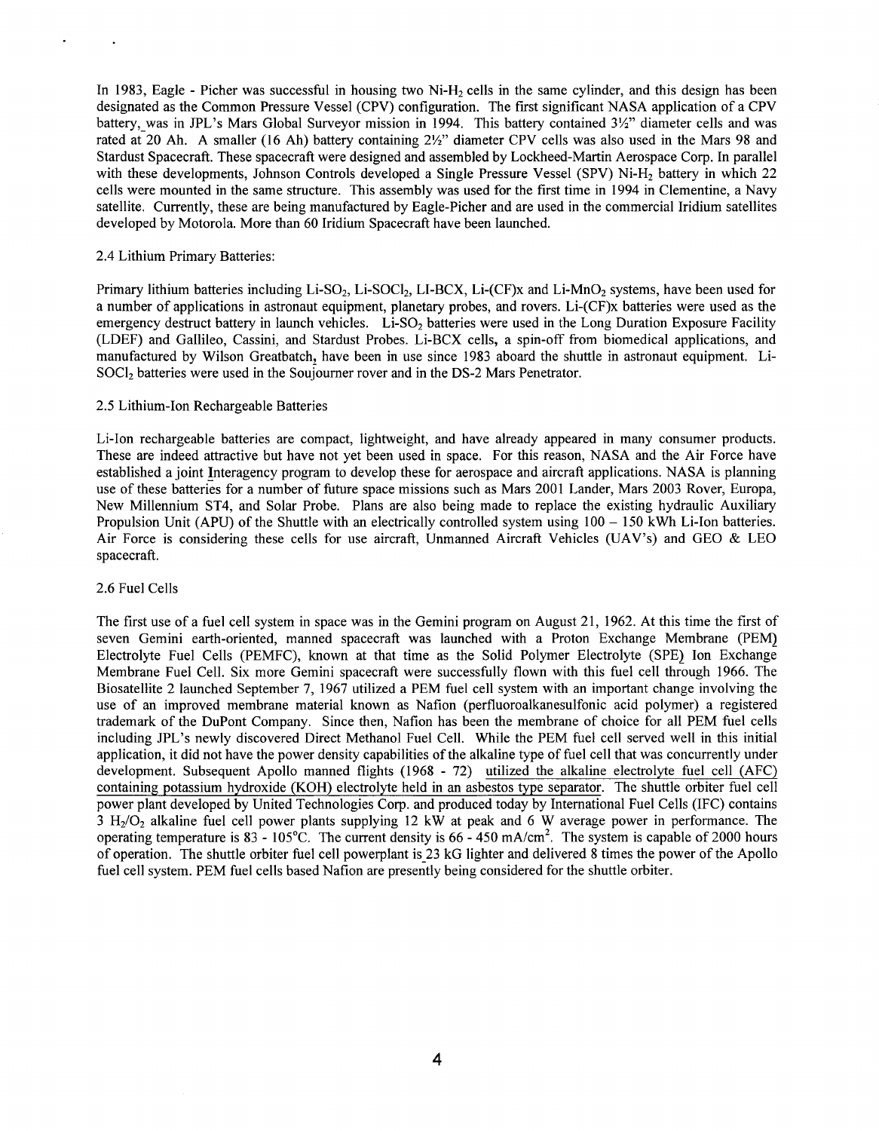<span id="page-3-0"></span>In 1983, Eagle - Picher was successful in housing two  $Ni-H<sub>2</sub>$  cells in the same cylinder, and this design has been designated as the Common Pressure Vessel (CPV) configuration. The first significant NASA application of a CPV battery, was in JPL's Mars Global Surveyor mission in 1994. This battery contained 3%" diameter cells and was rated at 20 Ah. A smaller (16 Ah) battery containing 21/2" diameter CPV cells was also used in the Mars 98 and Stardust Spacecraft. These spacecraft were designed and assembled by Lockheed-Martin Aerospace Corp. In parallel with these developments, Johnson Controls developed a Single Pressure Vessel (SPV) Ni-H<sub>2</sub> battery in which 22 cells were mounted in the same structure. This assembly was used for the first time in 1994 in Clementine, a Navy satellite. Currently, these are being manufactured by Eagle-Picher and are used in the commercial Iridium satellites developed by Motorola. More than 60 Iridium Spacecraft have been launched.

## 2.4 Lithium Primary Batteries:

Primary lithium batteries including Li-SO<sub>2</sub>, Li-SOCl<sub>2</sub>, LI-BCX, Li-(CF)x and Li-MnO<sub>2</sub> systems, have been used for a number of applications in astronaut equipment, planetary probes, and rovers. Li-(CF)x batteries were used as the emergency destruct battery in launch vehicles. Li-SO<sub>2</sub> batteries were used in the Long Duration Exposure Facility (LDEF) and Gallileo, Cassini, and Stardust Probes. Li-BCX cells, a spin-off from biomedical applications, and manufactured by Wilson Greatbatch, have been in use since 1983 aboard the shuttle in astronaut equipment. Li-SOCl<sub>2</sub> batteries were used in the Souiourner rover and in the DS-2 Mars Penetrator.

## 2.5 Lithium-Ion Rechargeable Batteries

Li-Ion rechargeable batteries are compact, lightweight, and have already appeared in many consumer products. These are indeed attractive but have not yet been used in space. For this reason, NASA and the Air Force have established a joint Interagency program to develop these for aerospace and aircraft applications. NASA is planning use of these batteries for a number of future space missions such as Mars 2001 Lander, Mars 2003 Rover, Europa, New Millennium ST4, and Solar Probe. Plans are also being made to replace the existing hydraulic Auxiliary Propulsion Unit (APU) of the Shuttle with an electrically controlled system using  $100 - 150$  kWh Li-Ion batteries. Air Force is considering these cells for use aircraft, Unmanned Aircraft Vehicles (UAV's) and GEO & LEO spacecraft.

#### 2.6 Fuel Cells

The first use of a fuel cell system in space was in the Gemini program on August 21, 1962. At this time the first of seven Gemini earth-oriented, manned spacecraft was launched with a Proton Exchange Membrane (PEM) Electrolyte Fuel Cells (PEMFC), known at that time as the Solid Polymer Electrolyte (SPE) Ion Exchange Membrane Fuel Cell. Six more Gemini spacecraft were successfully flown with this fuel cell through 1966. The Biosatellite 2 launched September 7, 1967 utilized a PEM fuel cell system with an important change involving the use of an improved membrane material known as Nafion (perfluoroalkanesulfonic acid polymer) a registered trademark of the DuPont Company. Since then, Nafion has been the membrane of choice for all PEM fuel cells including JPL's newly discovered Direct Methanol Fuel Cell. While the PEM fuel cell served well in this initial application, it did not have the power density capabilities of the alkaline type of fuel cell that was concurrently under development. Subsequent Apollo manned flights (1968 - 72) utilized the alkaline electrolyte fuel cell (AFC) containing potassium hydroxide (KOH) electrolyte held in an asbestos type separator. The shuttle orbiter fuel cell power plant developed by United Technologies Corp. and produced today by International Fuel Cells (IFC) contains  $3 H<sub>2</sub>/O<sub>2</sub>$  alkaline fuel cell power plants supplying 12 kW at peak and 6 W average power in performance. The operating temperature is  $83 - 105^{\circ}$ C. The current density is  $66 - 450$  mA/cm<sup>2</sup>. The system is capable of 2000 hours of operation. The shuttle orbiter fuel cell powerplant is 23 kG lighter and delivered 8 times the power of the Apollo fuel cell system. PEM fuel cells based Nafion are presently being considered for the shuttle orbiter.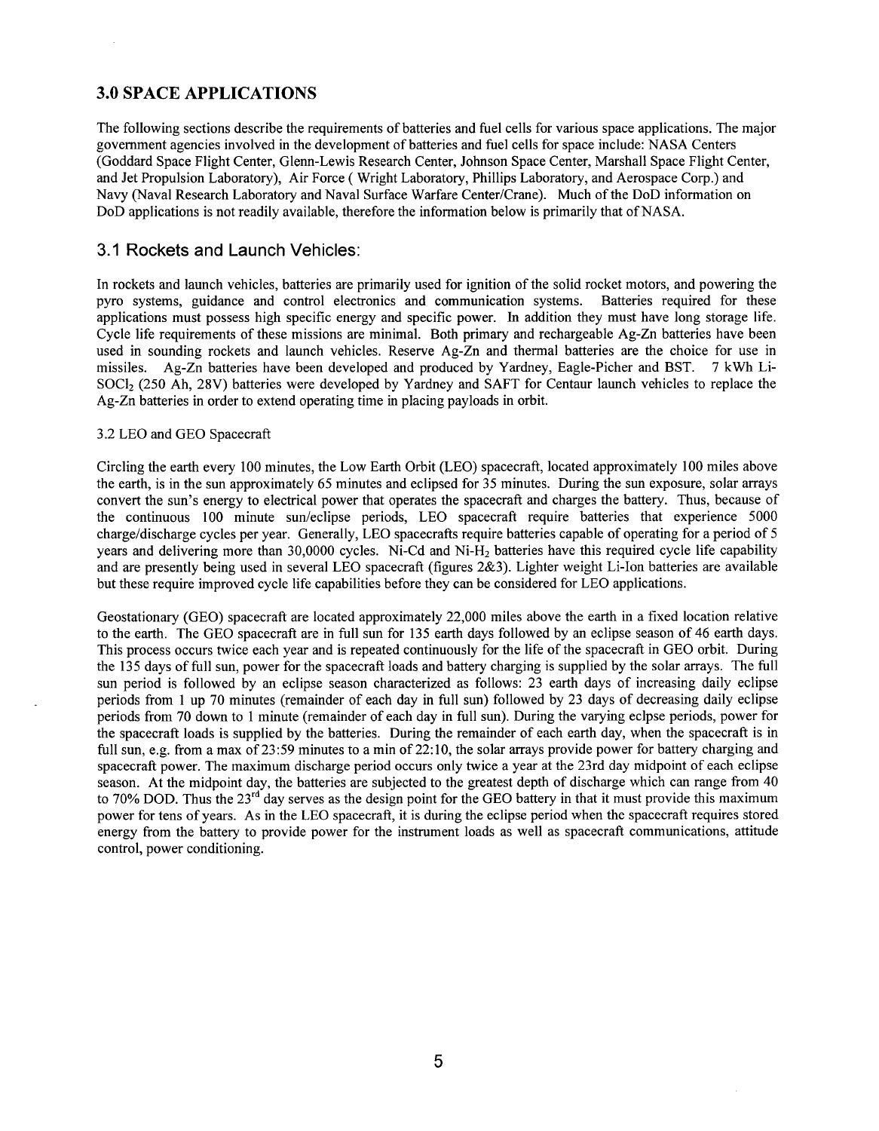# <span id="page-4-0"></span>**3.0 SPACE APPLICATIONS**

The following sections describe the requirements of batteries and fuel cells for various space applications. The major government agencies involved in the development of batteries and fuel cells for space include: NASA Centers (Goddard Space Flight Center, Glenn-Lewis Research Center, Johnson Space Center, Marshall Space Flight Center, and Jet Propulsion Laboratory), Air Force ( Wright Laboratory, Phillips Laboratory, and Aerospace Corp.) and Navy (Naval Research Laboratory and Naval Surface Warfare Center/Crane). Much of the DoD information on DoD applications is not readily available, therefore the information below is primarily that of NASA.

# **3.1** Rockets and Launch Vehicles:

In rockets and launch vehicles, batteries are primarily used for ignition of the solid rocket motors, and powering the pyro systems, guidance and control electronics and communication systems. Batteries required for these applications must possess high specific energy and specific power. In addition they must have long storage life. Cycle life requirements of these missions are minimal. Both primary and rechargeable Ag-Zn batteries have been used in sounding rockets and launch vehicles. Reserve Ag-Zn and thermal batteries are the choice for use in missiles. Ag-Zn batteries have been developed and produced by Yardney, Eagle-Picher and BST. 7 kWh Li-SOCl<sub>2</sub> (250 Ah, 28V) batteries were developed by Yardney and SAFT for Centaur launch vehicles to replace the Ag-Zn batteries in order to extend operating time in placing payloads in orbit.

# 3.2 LEO and GEO Spacecraft

Circling the earth every 100 minutes, the Low Earth Orbit (LEO) spacecraft, located approximately 100 miles above the earth, is in the sun approximately 65 minutes and eclipsed for 35 minutes. During the sun exposure, solar arrays convert the sun's energy to electrical power that operates the spacecraft and charges the battery. Thus, because of the continuous 100 minute sun/eclipse periods, LEO spacecraft require batteries that experience 5000 charge/discharge cycles per year. Generally, LEO spacecrafts require batteries capable of operating for a period of 5 years and delivering more than 30,0000 cycles. Ni-Cd and Ni-H<sub>2</sub> batteries have this required cycle life capability and are presently being used in several LEO spacecraft (figures 2&3). Lighter weight Li-Ion batteries are available but these require improved cycle life capabilities before they can be considered for LEO applications.

Geostationary (GEO) spacecraft are located approximately 22,000 miles above the earth in a fixed location relative to the earth. The GEO spacecraft are in full sun for 135 earth days followed by an eclipse season of 46 earth days. This process occurs twice each year and is repeated continuously for the life of the spacecraft in GEO orbit. During the 135 days of full sun, power for the spacecraft loads and battery charging is supplied by the solar arrays. The full sun period is followed by an eclipse season characterized as follows: 23 earth days of increasing daily eclipse periods from 1 up 70 minutes (remainder of each day in full sun) followed by 23 days of decreasing daily eclipse periods from 70 down to 1 minute (remainder of each day in full sun). During the varying eclpse periods, power for the spacecraft loads is supplied by the batteries. During the remainder of each earth day, when the spacecraft is in full sun, e.g. from a max of 23:59 minutes to a min of 22:10, the solar arrays provide power for battery charging and spacecraft power, The maximum discharge period occurs only twice a year at the 23rd day midpoint of each eclipse season. At the midpoint day, the batteries are subjected to the greatest depth of discharge which can range from 40 to 70% DOD. Thus the 23<sup>rd</sup> day serves as the design point for the GEO battery in that it must provide this maximum power for tens of years. As in the LEO spacecraft, it is during the eclipse period when the spacecraft requires stored energy from the battery to provide power for the instrument loads as well as spacecraft communications, attitude control, power conditioning.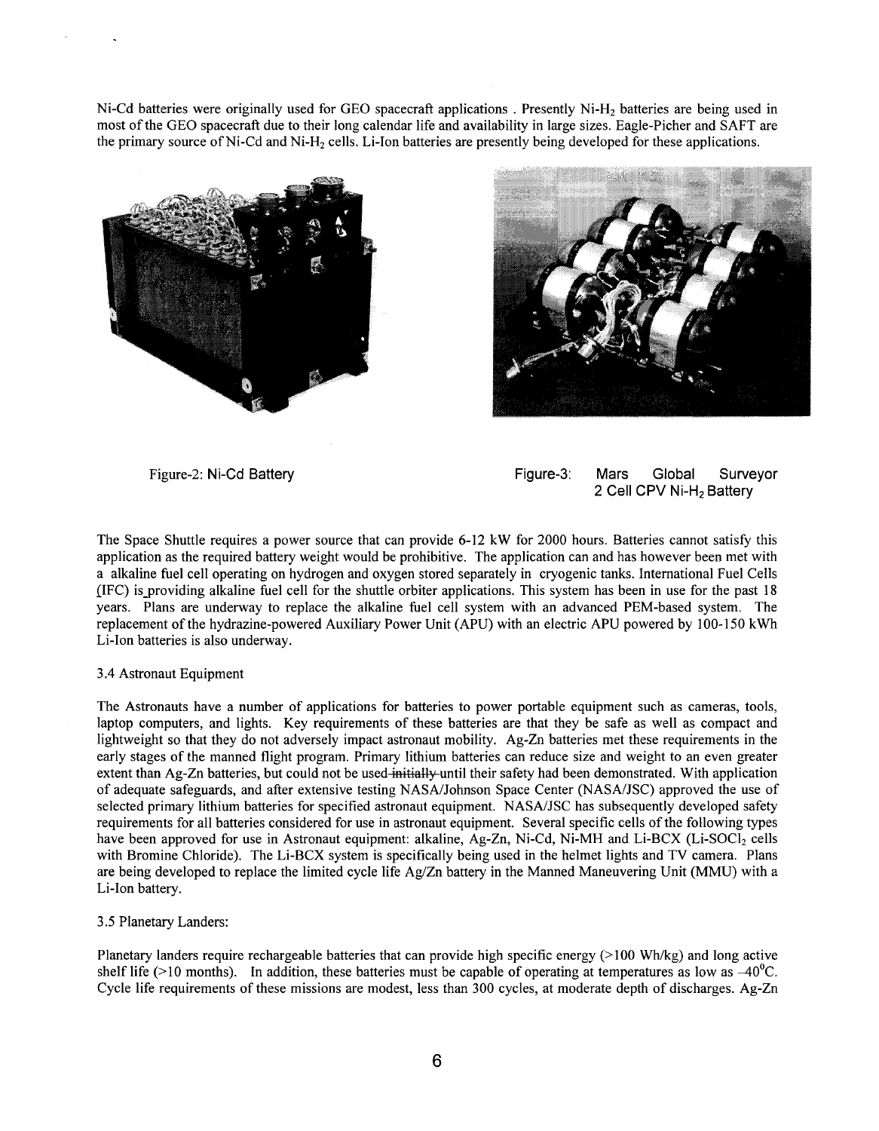<span id="page-5-0"></span>Ni-Cd batteries were originally used for GEO spacecraft applications. Presently Ni-H<sub>2</sub> batteries are being used in most of the GEO spacecraft due to their long calendar life and availability in large sizes. Eagle-Picher and SAFT are the primary source of Ni-Cd and Ni-H<sub>2</sub> cells. Li-Ion batteries are presently being developed for these applications.





Figure-2: Ni-Cd Battery Figure-3: Mars Global Surveyor 2 Cell CPV **Ni-H2** Battery

The Space Shuttle requires a power source that can provide **6-12** kW for 2000 hours. Batteries cannot satisfy this application as the required battery weight would be prohibitive. The application can and has however been met with a alkaline fuel cell operating on hydrogen and oxygen stored separately in cryogenic tanks. International Fuel Cells [IFC) is-providing alkaline fuel cell for the shuttle orbiter applications. This system has been in use for the past **18**  years. Plans are underway to replace the alkaline fuel cell system with an advanced PEM-based system. The replacement of the hydrazine-powered Auxiliary Power Unit (APU) with an electric APU powered by 100-150 kWh Li-Ion batteries is also underway.

## **3.4** Astronaut Equipment

The Astronauts have a number of applications for batteries to power portable equipment such as cameras, tools, laptop computers, and lights. Key requirements of these batteries are that they be safe as well as compact and lightweight so that they do not adversely impact astronaut mobility. Ag-Zn batteries met these requirements in the early stages of the manned flight program. Primary lithium batteries can reduce size and weight to an even greater extent than Ag-Zn batteries, but could not be used-initially-until their safety had been demonstrated. With application of adequate safeguards, and after extensive testing NASA/Johnson Space Center (NASA/JSC) approved the use of selected primary lithium batteries for specified astronaut equipment. NASA/JSC has subsequently developed safety requirements for all batteries considered for use in astronaut equipment. Several specific cells of the following types have been approved for use in Astronaut equipment: alkaline, Ag-Zn, Ni-Cd, Ni-MH and Li-BCX (Li-SOCl<sub>2</sub> cells with Bromine Chloride). The Li-BCX system is specifically being used in the helmet lights and TV camera. Plans are being developed to replace the limited cycle life Ag/Zn battery in the Manned Maneuvering Unit (MMU) with a Li-Ion battery.

## **3.5** Planetary Landers:

Planetary landers require rechargeable batteries that can provide high specific energy ( $>100$  Wh/kg) and long active shelf life (>10 months). In addition, these batteries must be capable of operating at temperatures as low as  $-40^{\circ}\text{C}$ . Cycle life requirements of these missions are modest, less than 300 cycles, at moderate depth of discharges. Ag-Zn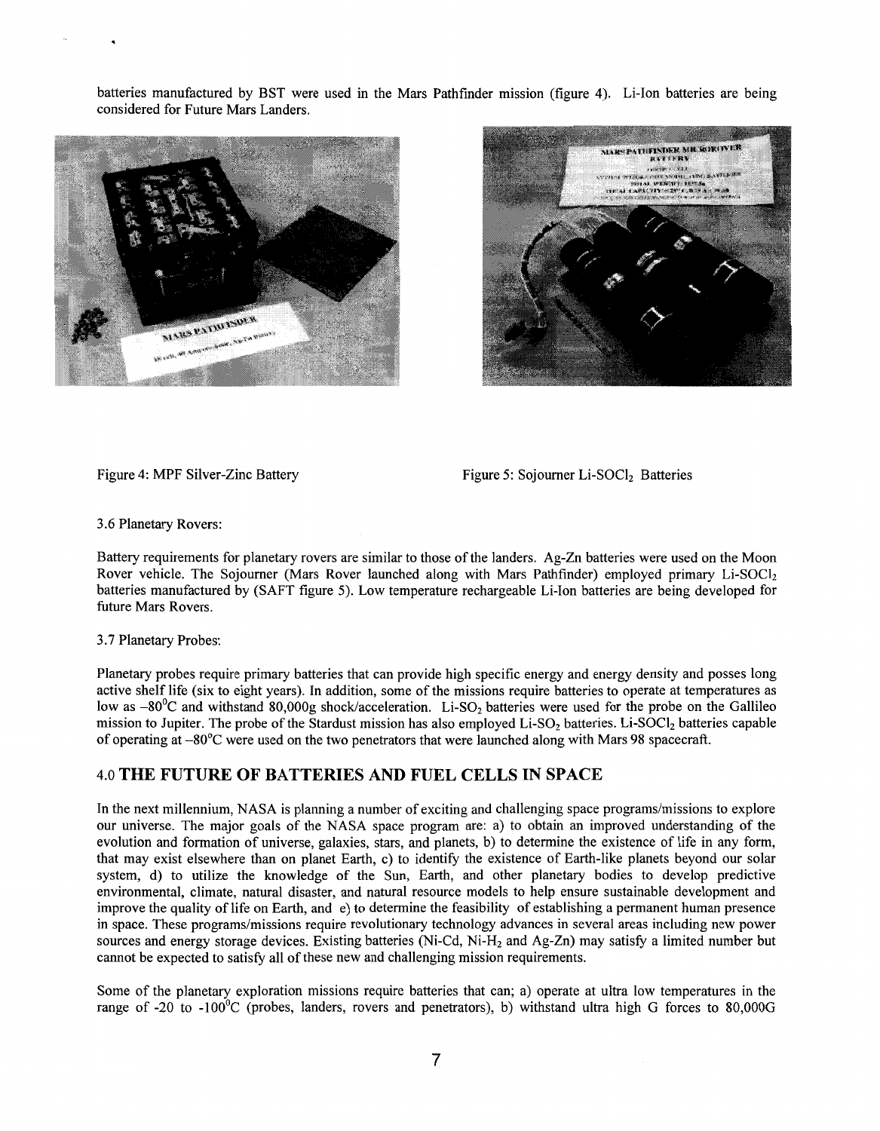<span id="page-6-0"></span>batteries manufactured by BST were used in the Mars Pathfinder mission (figure **4).** Li-Ion batteries are being considered for Future Mars Landers.





Figure 4: MPF Silver-Zinc Battery Figure 5: Sojourner Li-SOCl<sub>2</sub> Batteries

*3.6* Planetary Rovers:

Battery requirements for planetary rovers are similar to those of the landers. Ag-Zn batteries were used on the Moon Rover vehicle. The Sojourner (Mars Rover launched along with Mars Pathfinder) employed primary Li-SOCl2 batteries manufactured by (SAFT figure 5). Low temperature rechargeable Li-Ion batteries are being developed for future Mars Rovers.

3.7 Planetary Probes:

Planetary probes require primary batteries that can provide high specific energy and energy density and posses long active shelf life (six to eight years). In addition, some of the missions require batteries to operate at temperatures as low as  $-80^{\circ}$ C and withstand 80,000g shock/acceleration. Li-SO<sub>2</sub> batteries were used for the probe on the Gallileo mission to Jupiter. The probe of the Stardust mission has also employed Li-SO<sub>2</sub> batteries. Li-SOCl<sub>2</sub> batteries capable of operating at -80<sup>o</sup>C were used on the two penetrators that were launched along with Mars 98 spacecraft.

# 4.0 **THE FUTURE OF BATTERIES AND FUEL CELLS IN SPACE**

In the next millennium, NASA is planning a number of exciting and challenging space programs/missions to explore our universe. The major goals of the NASA space program are: a) to obtain an improved understanding of the evolution and formation of universe, galaxies, stars, and planets, b) to determine the existence of life in any form, that may exist elsewhere than on planet Earth, c) to identify the existence of Earth-like planets beyond our solar system, d) to utilize the knowledge of the Sun, Earth, and other planetary bodies to develop predictive environmental, climate, natural disaster, and natural resource models to help ensure sustainable development and improve the quality of life on Earth, and e) to determine the feasibility of establishing a permanent human presence in space. These programslmissions require revolutionary technology advances in several areas including new power sources and energy storage devices. Existing batteries (Ni-Cd, Ni-H<sub>2</sub> and Ag-Zn) may satisfy a limited number but cannot be expected to satisfy all of these new and challenging mission requirements.

Some of the planetary exploration missions require batteries that can; a) operate at ultra low temperatures in the range of -20 to -100<sup>o</sup>C (probes, landers, rovers and penetrators), b) withstand ultra high G forces to 80,000G